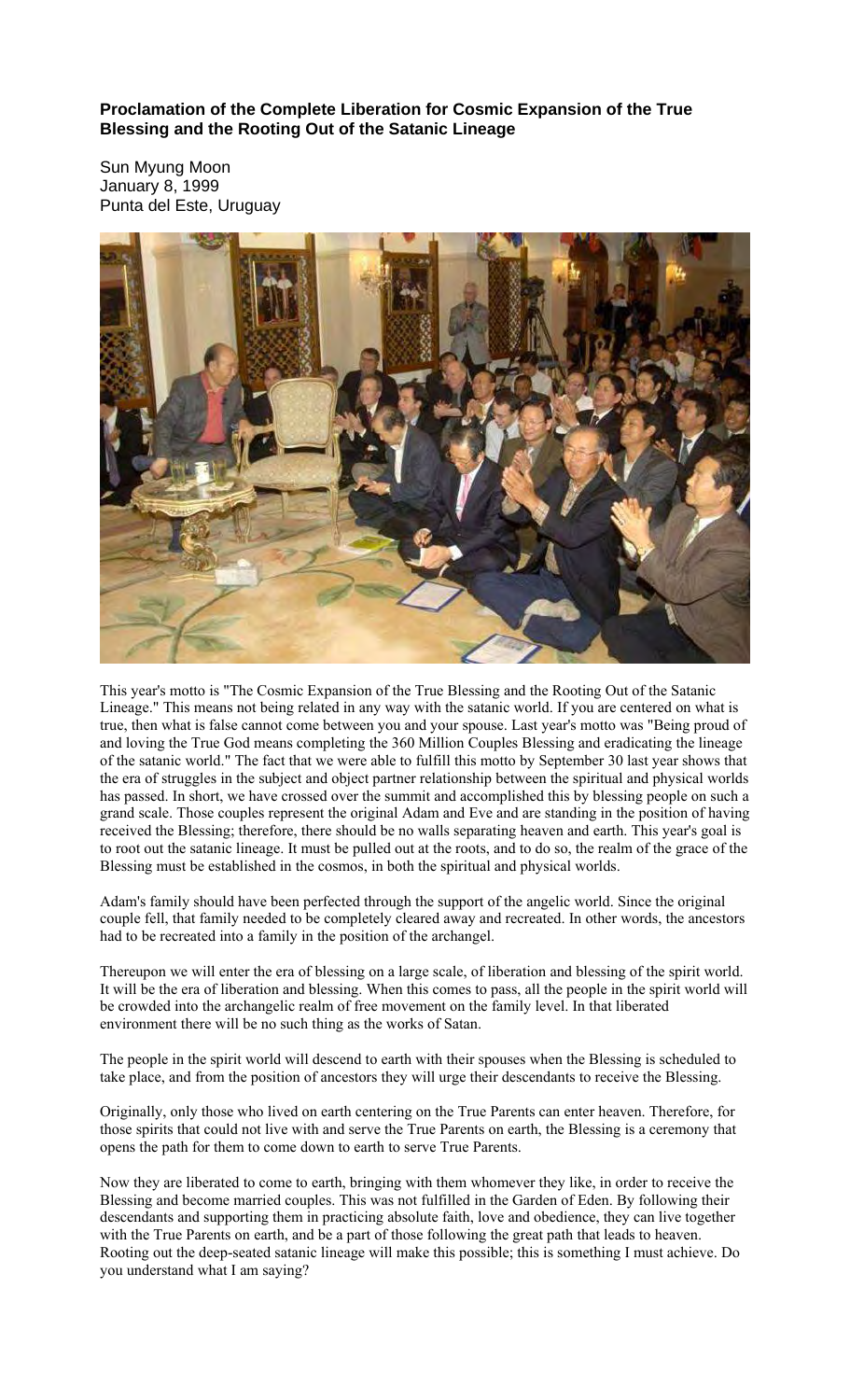**Proclamation of the Complete Liberation for Cosmic Expansion of the True Blessing and the Rooting Out of the Satanic Lineage** 

Sun Myung Moon January 8, 1999 Punta del Este, Uruguay



This year's motto is "The Cosmic Expansion of the True Blessing and the Rooting Out of the Satanic Lineage." This means not being related in any way with the satanic world. If you are centered on what is true, then what is false cannot come between you and your spouse. Last year's motto was "Being proud of and loving the True God means completing the 360 Million Couples Blessing and eradicating the lineage of the satanic world." The fact that we were able to fulfill this motto by September 30 last year shows that the era of struggles in the subject and object partner relationship between the spiritual and physical worlds has passed. In short, we have crossed over the summit and accomplished this by blessing people on such a grand scale. Those couples represent the original Adam and Eve and are standing in the position of having received the Blessing; therefore, there should be no walls separating heaven and earth. This year's goal is to root out the satanic lineage. It must be pulled out at the roots, and to do so, the realm of the grace of the Blessing must be established in the cosmos, in both the spiritual and physical worlds.

Adam's family should have been perfected through the support of the angelic world. Since the original couple fell, that family needed to be completely cleared away and recreated. In other words, the ancestors had to be recreated into a family in the position of the archangel.

Thereupon we will enter the era of blessing on a large scale, of liberation and blessing of the spirit world. It will be the era of liberation and blessing. When this comes to pass, all the people in the spirit world will be crowded into the archangelic realm of free movement on the family level. In that liberated environment there will be no such thing as the works of Satan.

The people in the spirit world will descend to earth with their spouses when the Blessing is scheduled to take place, and from the position of ancestors they will urge their descendants to receive the Blessing.

Originally, only those who lived on earth centering on the True Parents can enter heaven. Therefore, for those spirits that could not live with and serve the True Parents on earth, the Blessing is a ceremony that opens the path for them to come down to earth to serve True Parents.

Now they are liberated to come to earth, bringing with them whomever they like, in order to receive the Blessing and become married couples. This was not fulfilled in the Garden of Eden. By following their descendants and supporting them in practicing absolute faith, love and obedience, they can live together with the True Parents on earth, and be a part of those following the great path that leads to heaven. Rooting out the deep-seated satanic lineage will make this possible; this is something I must achieve. Do you understand what I am saying?